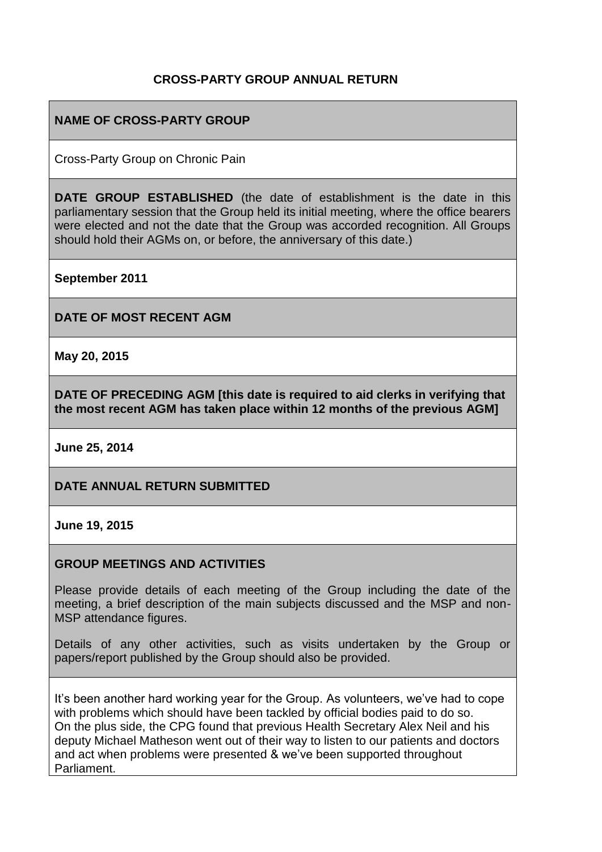# **CROSS-PARTY GROUP ANNUAL RETURN**

# **NAME OF CROSS-PARTY GROUP**

Cross-Party Group on Chronic Pain

**DATE GROUP ESTABLISHED** (the date of establishment is the date in this parliamentary session that the Group held its initial meeting, where the office bearers were elected and not the date that the Group was accorded recognition. All Groups should hold their AGMs on, or before, the anniversary of this date.)

**September 2011**

**DATE OF MOST RECENT AGM**

**May 20, 2015**

**DATE OF PRECEDING AGM [this date is required to aid clerks in verifying that the most recent AGM has taken place within 12 months of the previous AGM]**

**June 25, 2014**

**DATE ANNUAL RETURN SUBMITTED**

**June 19, 2015**

## **GROUP MEETINGS AND ACTIVITIES**

Please provide details of each meeting of the Group including the date of the meeting, a brief description of the main subjects discussed and the MSP and non-MSP attendance figures.

Details of any other activities, such as visits undertaken by the Group or papers/report published by the Group should also be provided.

It's been another hard working year for the Group. As volunteers, we've had to cope with problems which should have been tackled by official bodies paid to do so. On the plus side, the CPG found that previous Health Secretary Alex Neil and his deputy Michael Matheson went out of their way to listen to our patients and doctors and act when problems were presented & we've been supported throughout Parliament.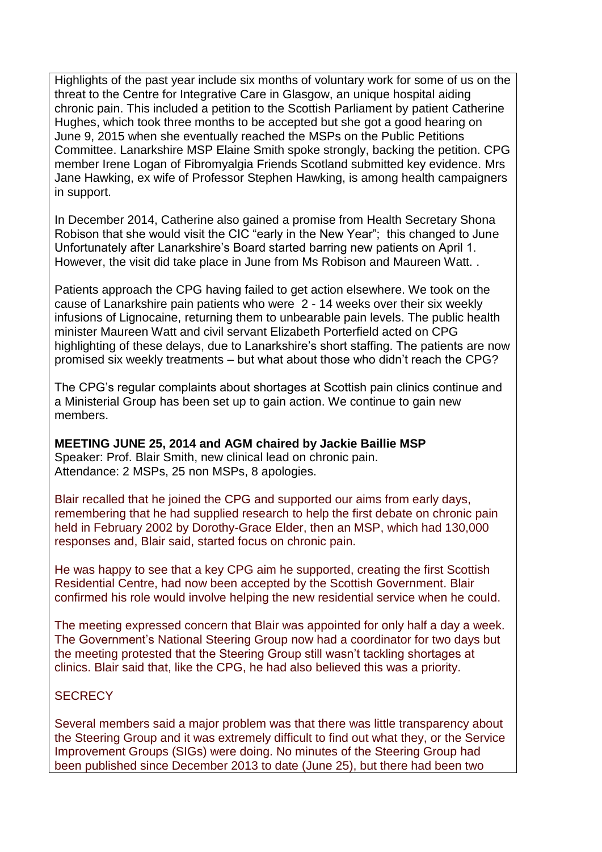Highlights of the past year include six months of voluntary work for some of us on the threat to the Centre for Integrative Care in Glasgow, an unique hospital aiding chronic pain. This included a petition to the Scottish Parliament by patient Catherine Hughes, which took three months to be accepted but she got a good hearing on June 9, 2015 when she eventually reached the MSPs on the Public Petitions Committee. Lanarkshire MSP Elaine Smith spoke strongly, backing the petition. CPG member Irene Logan of Fibromyalgia Friends Scotland submitted key evidence. Mrs Jane Hawking, ex wife of Professor Stephen Hawking, is among health campaigners in support.

In December 2014, Catherine also gained a promise from Health Secretary Shona Robison that she would visit the CIC "early in the New Year"; this changed to June Unfortunately after Lanarkshire's Board started barring new patients on April 1. However, the visit did take place in June from Ms Robison and Maureen Watt. .

Patients approach the CPG having failed to get action elsewhere. We took on the cause of Lanarkshire pain patients who were 2 - 14 weeks over their six weekly infusions of Lignocaine, returning them to unbearable pain levels. The public health minister Maureen Watt and civil servant Elizabeth Porterfield acted on CPG highlighting of these delays, due to Lanarkshire's short staffing. The patients are now promised six weekly treatments – but what about those who didn't reach the CPG?

The CPG's regular complaints about shortages at Scottish pain clinics continue and a Ministerial Group has been set up to gain action. We continue to gain new members.

**MEETING JUNE 25, 2014 and AGM chaired by Jackie Baillie MSP** Speaker: Prof. Blair Smith, new clinical lead on chronic pain. Attendance: 2 MSPs, 25 non MSPs, 8 apologies.

Blair recalled that he joined the CPG and supported our aims from early days, remembering that he had supplied research to help the first debate on chronic pain held in February 2002 by Dorothy-Grace Elder, then an MSP, which had 130,000 responses and, Blair said, started focus on chronic pain.

He was happy to see that a key CPG aim he supported, creating the first Scottish Residential Centre, had now been accepted by the Scottish Government. Blair confirmed his role would involve helping the new residential service when he could.

The meeting expressed concern that Blair was appointed for only half a day a week. The Government's National Steering Group now had a coordinator for two days but the meeting protested that the Steering Group still wasn't tackling shortages at clinics. Blair said that, like the CPG, he had also believed this was a priority.

## **SECRECY**

Several members said a major problem was that there was little transparency about the Steering Group and it was extremely difficult to find out what they, or the Service Improvement Groups (SIGs) were doing. No minutes of the Steering Group had been published since December 2013 to date (June 25), but there had been two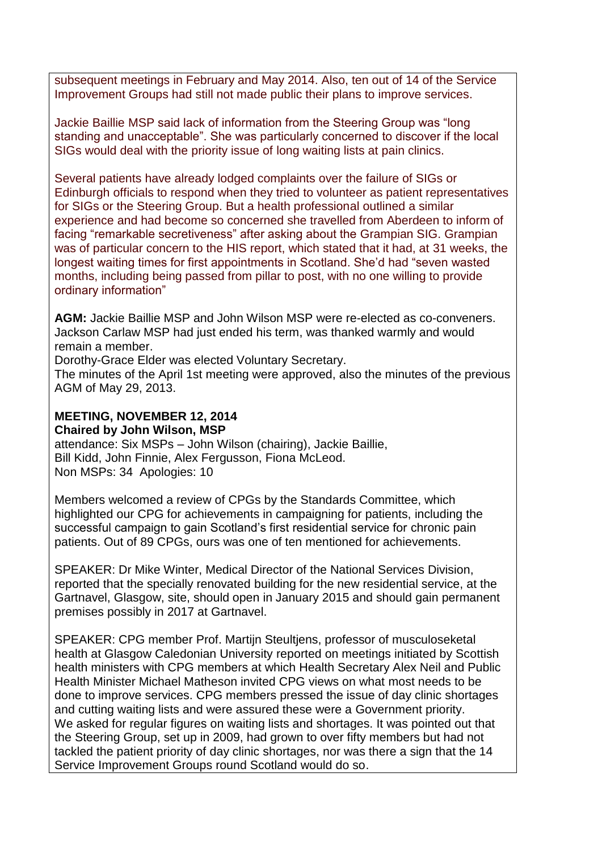subsequent meetings in February and May 2014. Also, ten out of 14 of the Service Improvement Groups had still not made public their plans to improve services.

Jackie Baillie MSP said lack of information from the Steering Group was "long standing and unacceptable". She was particularly concerned to discover if the local SIGs would deal with the priority issue of long waiting lists at pain clinics.

Several patients have already lodged complaints over the failure of SIGs or Edinburgh officials to respond when they tried to volunteer as patient representatives for SIGs or the Steering Group. But a health professional outlined a similar experience and had become so concerned she travelled from Aberdeen to inform of facing "remarkable secretiveness" after asking about the Grampian SIG. Grampian was of particular concern to the HIS report, which stated that it had, at 31 weeks, the longest waiting times for first appointments in Scotland. She'd had "seven wasted months, including being passed from pillar to post, with no one willing to provide ordinary information"

**AGM:** Jackie Baillie MSP and John Wilson MSP were re-elected as co-conveners. Jackson Carlaw MSP had just ended his term, was thanked warmly and would remain a member.

Dorothy-Grace Elder was elected Voluntary Secretary.

The minutes of the April 1st meeting were approved, also the minutes of the previous AGM of May 29, 2013.

#### **MEETING, NOVEMBER 12, 2014 Chaired by John Wilson, MSP**

attendance: Six MSPs – John Wilson (chairing), Jackie Baillie, Bill Kidd, John Finnie, Alex Fergusson, Fiona McLeod. Non MSPs: 34 Apologies: 10

Members welcomed a review of CPGs by the Standards Committee, which highlighted our CPG for achievements in campaigning for patients, including the successful campaign to gain Scotland's first residential service for chronic pain patients. Out of 89 CPGs, ours was one of ten mentioned for achievements.

SPEAKER: Dr Mike Winter, Medical Director of the National Services Division, reported that the specially renovated building for the new residential service, at the Gartnavel, Glasgow, site, should open in January 2015 and should gain permanent premises possibly in 2017 at Gartnavel.

SPEAKER: CPG member Prof. Martijn Steultjens, professor of musculoseketal health at Glasgow Caledonian University reported on meetings initiated by Scottish health ministers with CPG members at which Health Secretary Alex Neil and Public Health Minister Michael Matheson invited CPG views on what most needs to be done to improve services. CPG members pressed the issue of day clinic shortages and cutting waiting lists and were assured these were a Government priority. We asked for regular figures on waiting lists and shortages. It was pointed out that the Steering Group, set up in 2009, had grown to over fifty members but had not tackled the patient priority of day clinic shortages, nor was there a sign that the 14 Service Improvement Groups round Scotland would do so.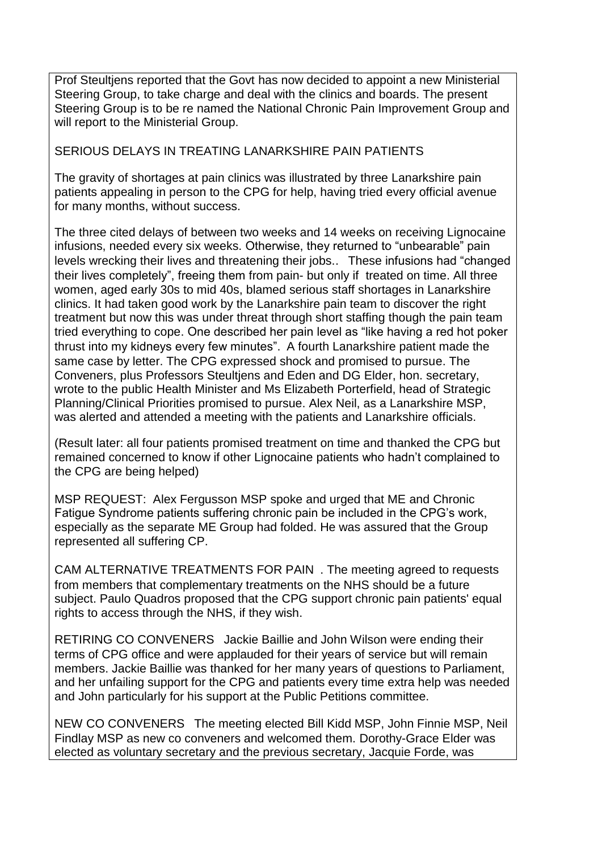Prof Steultjens reported that the Govt has now decided to appoint a new Ministerial Steering Group, to take charge and deal with the clinics and boards. The present Steering Group is to be re named the National Chronic Pain Improvement Group and will report to the Ministerial Group.

#### SERIOUS DELAYS IN TREATING LANARKSHIRE PAIN PATIENTS

The gravity of shortages at pain clinics was illustrated by three Lanarkshire pain patients appealing in person to the CPG for help, having tried every official avenue for many months, without success.

The three cited delays of between two weeks and 14 weeks on receiving Lignocaine infusions, needed every six weeks. Otherwise, they returned to "unbearable" pain levels wrecking their lives and threatening their jobs.. These infusions had "changed their lives completely", freeing them from pain- but only if treated on time. All three women, aged early 30s to mid 40s, blamed serious staff shortages in Lanarkshire clinics. It had taken good work by the Lanarkshire pain team to discover the right treatment but now this was under threat through short staffing though the pain team tried everything to cope. One described her pain level as "like having a red hot poker thrust into my kidneys every few minutes". A fourth Lanarkshire patient made the same case by letter. The CPG expressed shock and promised to pursue. The Conveners, plus Professors Steultjens and Eden and DG Elder, hon. secretary, wrote to the public Health Minister and Ms Elizabeth Porterfield, head of Strategic Planning/Clinical Priorities promised to pursue. Alex Neil, as a Lanarkshire MSP, was alerted and attended a meeting with the patients and Lanarkshire officials.

(Result later: all four patients promised treatment on time and thanked the CPG but remained concerned to know if other Lignocaine patients who hadn't complained to the CPG are being helped)

MSP REQUEST: Alex Fergusson MSP spoke and urged that ME and Chronic Fatigue Syndrome patients suffering chronic pain be included in the CPG's work, especially as the separate ME Group had folded. He was assured that the Group represented all suffering CP.

CAM ALTERNATIVE TREATMENTS FOR PAIN . The meeting agreed to requests from members that complementary treatments on the NHS should be a future subject. Paulo Quadros proposed that the CPG support chronic pain patients' equal rights to access through the NHS, if they wish.

RETIRING CO CONVENERS Jackie Baillie and John Wilson were ending their terms of CPG office and were applauded for their years of service but will remain members. Jackie Baillie was thanked for her many years of questions to Parliament, and her unfailing support for the CPG and patients every time extra help was needed and John particularly for his support at the Public Petitions committee.

NEW CO CONVENERS The meeting elected Bill Kidd MSP, John Finnie MSP, Neil Findlay MSP as new co conveners and welcomed them. Dorothy-Grace Elder was elected as voluntary secretary and the previous secretary, Jacquie Forde, was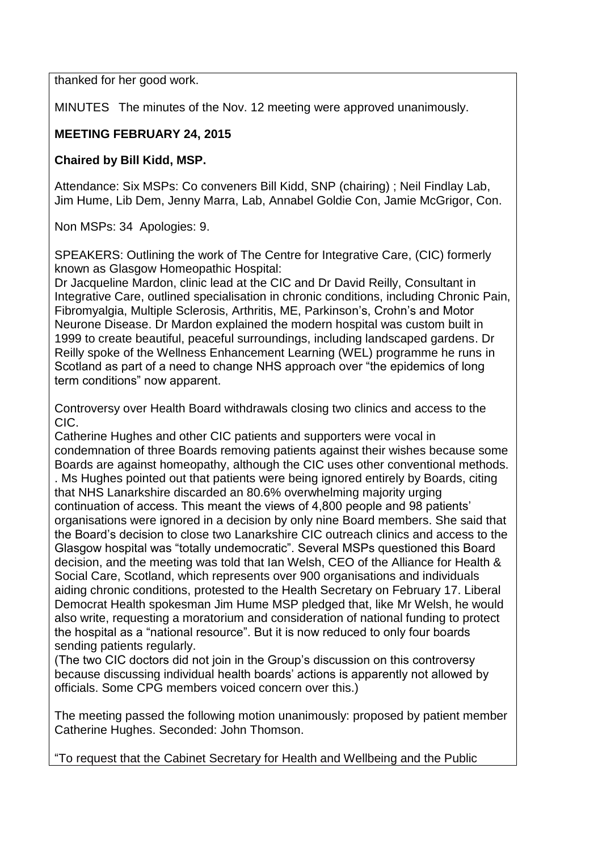thanked for her good work.

MINUTES The minutes of the Nov. 12 meeting were approved unanimously.

# **MEETING FEBRUARY 24, 2015**

## **Chaired by Bill Kidd, MSP.**

Attendance: Six MSPs: Co conveners Bill Kidd, SNP (chairing) ; Neil Findlay Lab, Jim Hume, Lib Dem, Jenny Marra, Lab, Annabel Goldie Con, Jamie McGrigor, Con.

Non MSPs: 34 Apologies: 9.

SPEAKERS: Outlining the work of The Centre for Integrative Care, (CIC) formerly known as Glasgow Homeopathic Hospital:

Dr Jacqueline Mardon, clinic lead at the CIC and Dr David Reilly, Consultant in Integrative Care, outlined specialisation in chronic conditions, including Chronic Pain, Fibromyalgia, Multiple Sclerosis, Arthritis, ME, Parkinson's, Crohn's and Motor Neurone Disease. Dr Mardon explained the modern hospital was custom built in 1999 to create beautiful, peaceful surroundings, including landscaped gardens. Dr Reilly spoke of the Wellness Enhancement Learning (WEL) programme he runs in Scotland as part of a need to change NHS approach over "the epidemics of long term conditions" now apparent.

Controversy over Health Board withdrawals closing two clinics and access to the CIC.

Catherine Hughes and other CIC patients and supporters were vocal in condemnation of three Boards removing patients against their wishes because some Boards are against homeopathy, although the CIC uses other conventional methods. . Ms Hughes pointed out that patients were being ignored entirely by Boards, citing that NHS Lanarkshire discarded an 80.6% overwhelming majority urging continuation of access. This meant the views of 4,800 people and 98 patients' organisations were ignored in a decision by only nine Board members. She said that the Board's decision to close two Lanarkshire CIC outreach clinics and access to the Glasgow hospital was "totally undemocratic". Several MSPs questioned this Board decision, and the meeting was told that Ian Welsh, CEO of the Alliance for Health & Social Care, Scotland, which represents over 900 organisations and individuals aiding chronic conditions, protested to the Health Secretary on February 17. Liberal Democrat Health spokesman Jim Hume MSP pledged that, like Mr Welsh, he would also write, requesting a moratorium and consideration of national funding to protect the hospital as a "national resource". But it is now reduced to only four boards sending patients regularly.

(The two CIC doctors did not join in the Group's discussion on this controversy because discussing individual health boards' actions is apparently not allowed by officials. Some CPG members voiced concern over this.)

The meeting passed the following motion unanimously: proposed by patient member Catherine Hughes. Seconded: John Thomson.

"To request that the Cabinet Secretary for Health and Wellbeing and the Public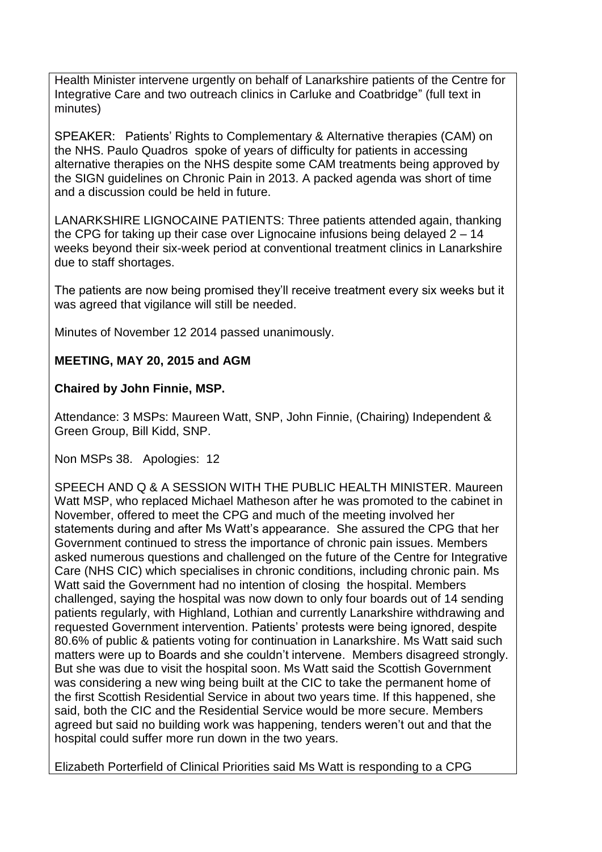Health Minister intervene urgently on behalf of Lanarkshire patients of the Centre for Integrative Care and two outreach clinics in Carluke and Coatbridge" (full text in minutes)

SPEAKER: Patients' Rights to Complementary & Alternative therapies (CAM) on the NHS. Paulo Quadros spoke of years of difficulty for patients in accessing alternative therapies on the NHS despite some CAM treatments being approved by the SIGN guidelines on Chronic Pain in 2013. A packed agenda was short of time and a discussion could be held in future.

LANARKSHIRE LIGNOCAINE PATIENTS: Three patients attended again, thanking the CPG for taking up their case over Lignocaine infusions being delayed 2 – 14 weeks beyond their six-week period at conventional treatment clinics in Lanarkshire due to staff shortages.

The patients are now being promised they'll receive treatment every six weeks but it was agreed that vigilance will still be needed.

Minutes of November 12 2014 passed unanimously.

# **MEETING, MAY 20, 2015 and AGM**

## **Chaired by John Finnie, MSP.**

Attendance: 3 MSPs: Maureen Watt, SNP, John Finnie, (Chairing) Independent & Green Group, Bill Kidd, SNP.

Non MSPs 38. Apologies: 12

SPEECH AND Q & A SESSION WITH THE PUBLIC HEALTH MINISTER. Maureen Watt MSP, who replaced Michael Matheson after he was promoted to the cabinet in November, offered to meet the CPG and much of the meeting involved her statements during and after Ms Watt's appearance. She assured the CPG that her Government continued to stress the importance of chronic pain issues. Members asked numerous questions and challenged on the future of the Centre for Integrative Care (NHS CIC) which specialises in chronic conditions, including chronic pain. Ms Watt said the Government had no intention of closing the hospital. Members challenged, saying the hospital was now down to only four boards out of 14 sending patients regularly, with Highland, Lothian and currently Lanarkshire withdrawing and requested Government intervention. Patients' protests were being ignored, despite 80.6% of public & patients voting for continuation in Lanarkshire. Ms Watt said such matters were up to Boards and she couldn't intervene. Members disagreed strongly. But she was due to visit the hospital soon. Ms Watt said the Scottish Government was considering a new wing being built at the CIC to take the permanent home of the first Scottish Residential Service in about two years time. If this happened, she said, both the CIC and the Residential Service would be more secure. Members agreed but said no building work was happening, tenders weren't out and that the hospital could suffer more run down in the two years.

Elizabeth Porterfield of Clinical Priorities said Ms Watt is responding to a CPG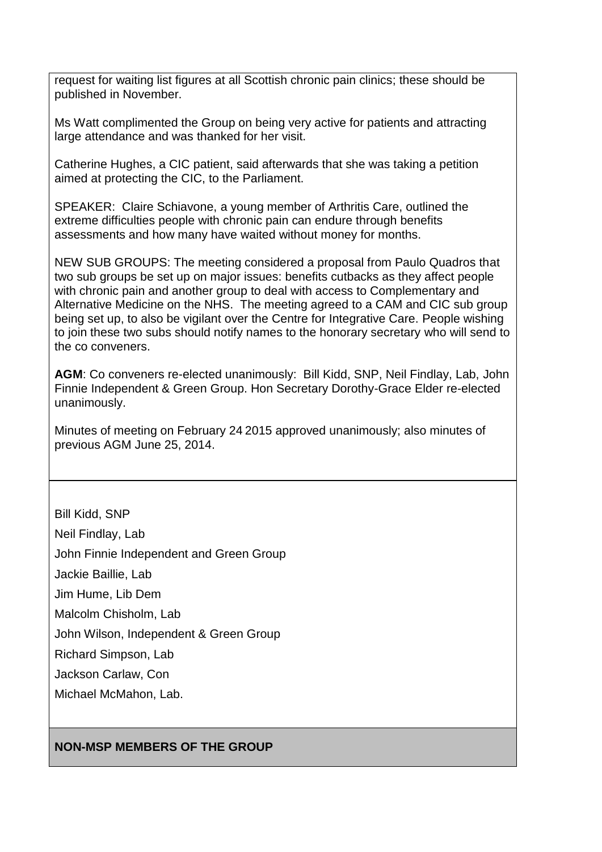request for waiting list figures at all Scottish chronic pain clinics; these should be published in November.

Ms Watt complimented the Group on being very active for patients and attracting large attendance and was thanked for her visit.

Catherine Hughes, a CIC patient, said afterwards that she was taking a petition aimed at protecting the CIC, to the Parliament.

SPEAKER: Claire Schiavone, a young member of Arthritis Care, outlined the extreme difficulties people with chronic pain can endure through benefits assessments and how many have waited without money for months.

NEW SUB GROUPS: The meeting considered a proposal from Paulo Quadros that two sub groups be set up on major issues: benefits cutbacks as they affect people with chronic pain and another group to deal with access to Complementary and Alternative Medicine on the NHS. The meeting agreed to a CAM and CIC sub group being set up, to also be vigilant over the Centre for Integrative Care. People wishing to join these two subs should notify names to the honorary secretary who will send to the co conveners.

**AGM**: Co conveners re-elected unanimously: Bill Kidd, SNP, Neil Findlay, Lab, John Finnie Independent & Green Group. Hon Secretary Dorothy-Grace Elder re-elected unanimously.

Minutes of meeting on February 24 2015 approved unanimously; also minutes of previous AGM June 25, 2014.

Bill Kidd, SNP Neil Findlay, Lab John Finnie Independent and Green Group Jackie Baillie, Lab Jim Hume, Lib Dem Malcolm Chisholm, Lab John Wilson, Independent & Green Group Richard Simpson, Lab Jackson Carlaw, Con Michael McMahon, Lab.

## **NON-MSP MEMBERS OF THE GROUP**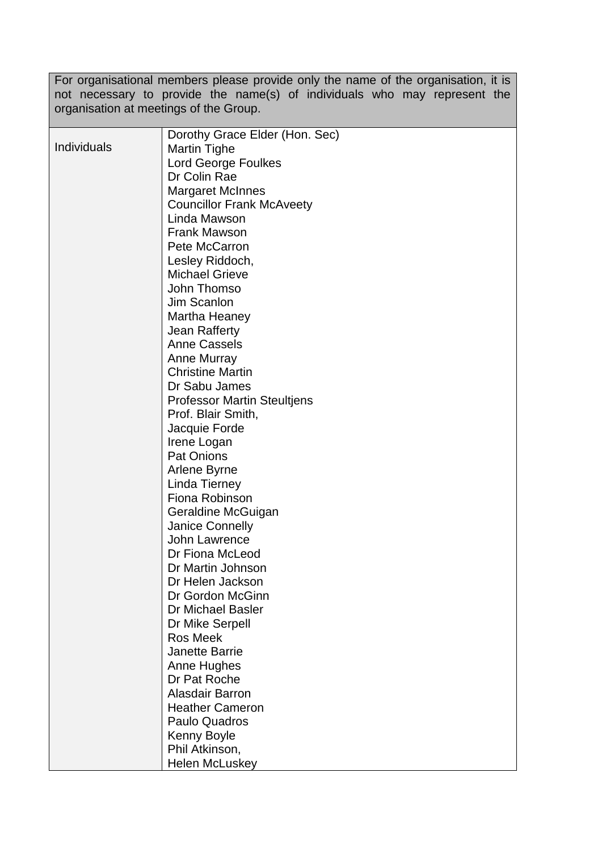For organisational members please provide only the name of the organisation, it is not necessary to provide the name(s) of individuals who may represent the organisation at meetings of the Group.

|             | Dorothy Grace Elder (Hon. Sec)     |
|-------------|------------------------------------|
| Individuals | <b>Martin Tighe</b>                |
|             | <b>Lord George Foulkes</b>         |
|             | Dr Colin Rae                       |
|             | <b>Margaret McInnes</b>            |
|             | <b>Councillor Frank McAveety</b>   |
|             | Linda Mawson                       |
|             | <b>Frank Mawson</b>                |
|             | Pete McCarron                      |
|             | Lesley Riddoch,                    |
|             | <b>Michael Grieve</b>              |
|             | John Thomso                        |
|             | Jim Scanlon                        |
|             | Martha Heaney                      |
|             | Jean Rafferty                      |
|             | <b>Anne Cassels</b>                |
|             | Anne Murray                        |
|             | <b>Christine Martin</b>            |
|             | Dr Sabu James                      |
|             | <b>Professor Martin Steultjens</b> |
|             | Prof. Blair Smith,                 |
|             | Jacquie Forde                      |
|             |                                    |
|             | Irene Logan<br><b>Pat Onions</b>   |
|             |                                    |
|             | Arlene Byrne                       |
|             | Linda Tierney                      |
|             | Fiona Robinson                     |
|             | Geraldine McGuigan                 |
|             | <b>Janice Connelly</b>             |
|             | John Lawrence                      |
|             | Dr Fiona McLeod                    |
|             | Dr Martin Johnson                  |
|             | Dr Helen Jackson                   |
|             | Dr Gordon McGinn                   |
|             | Dr Michael Basler                  |
|             | Dr Mike Serpell                    |
|             | Ros Meek                           |
|             | <b>Janette Barrie</b>              |
|             | Anne Hughes                        |
|             | Dr Pat Roche                       |
|             | <b>Alasdair Barron</b>             |
|             | <b>Heather Cameron</b>             |
|             | <b>Paulo Quadros</b>               |
|             | Kenny Boyle                        |
|             | Phil Atkinson,                     |
|             | <b>Helen McLuskey</b>              |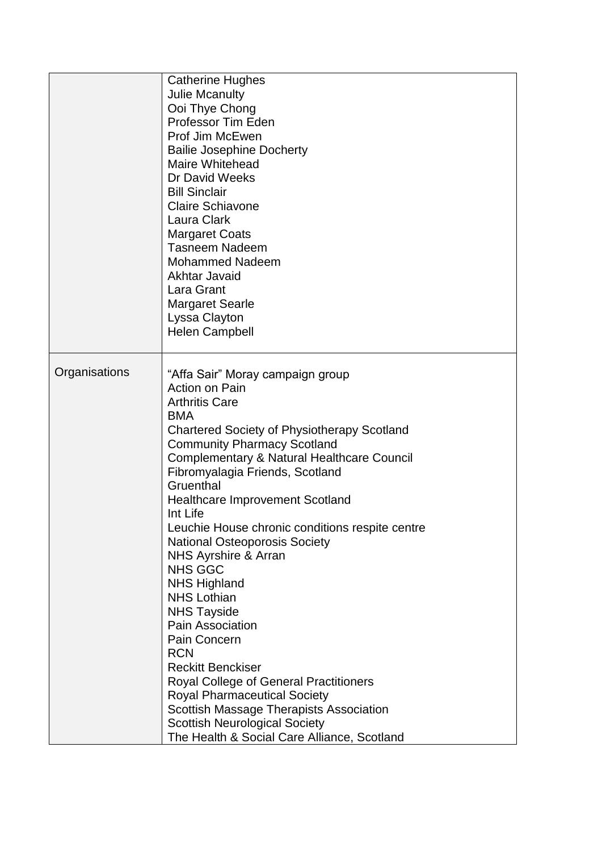|               | <b>Catherine Hughes</b><br><b>Julie Mcanulty</b><br>Ooi Thye Chong<br>Professor Tim Eden<br>Prof Jim McEwen<br><b>Bailie Josephine Docherty</b><br><b>Maire Whitehead</b><br>Dr David Weeks<br><b>Bill Sinclair</b><br><b>Claire Schiavone</b><br>Laura Clark<br><b>Margaret Coats</b><br><b>Tasneem Nadeem</b><br><b>Mohammed Nadeem</b><br>Akhtar Javaid<br>Lara Grant<br><b>Margaret Searle</b><br>Lyssa Clayton<br><b>Helen Campbell</b>                                                                                                                                                                                                                                                                                                                                                                                                                                |
|---------------|-----------------------------------------------------------------------------------------------------------------------------------------------------------------------------------------------------------------------------------------------------------------------------------------------------------------------------------------------------------------------------------------------------------------------------------------------------------------------------------------------------------------------------------------------------------------------------------------------------------------------------------------------------------------------------------------------------------------------------------------------------------------------------------------------------------------------------------------------------------------------------|
| Organisations | "Affa Sair" Moray campaign group<br><b>Action on Pain</b><br><b>Arthritis Care</b><br><b>BMA</b><br><b>Chartered Society of Physiotherapy Scotland</b><br><b>Community Pharmacy Scotland</b><br><b>Complementary &amp; Natural Healthcare Council</b><br>Fibromyalagia Friends, Scotland<br>Gruenthal<br><b>Healthcare Improvement Scotland</b><br>Int Life<br>Leuchie House chronic conditions respite centre<br><b>National Osteoporosis Society</b><br>NHS Ayrshire & Arran<br><b>NHS GGC</b><br><b>NHS Highland</b><br><b>NHS Lothian</b><br><b>NHS Tayside</b><br>Pain Association<br>Pain Concern<br><b>RCN</b><br><b>Reckitt Benckiser</b><br><b>Royal College of General Practitioners</b><br><b>Royal Pharmaceutical Society</b><br>Scottish Massage Therapists Association<br><b>Scottish Neurological Society</b><br>The Health & Social Care Alliance, Scotland |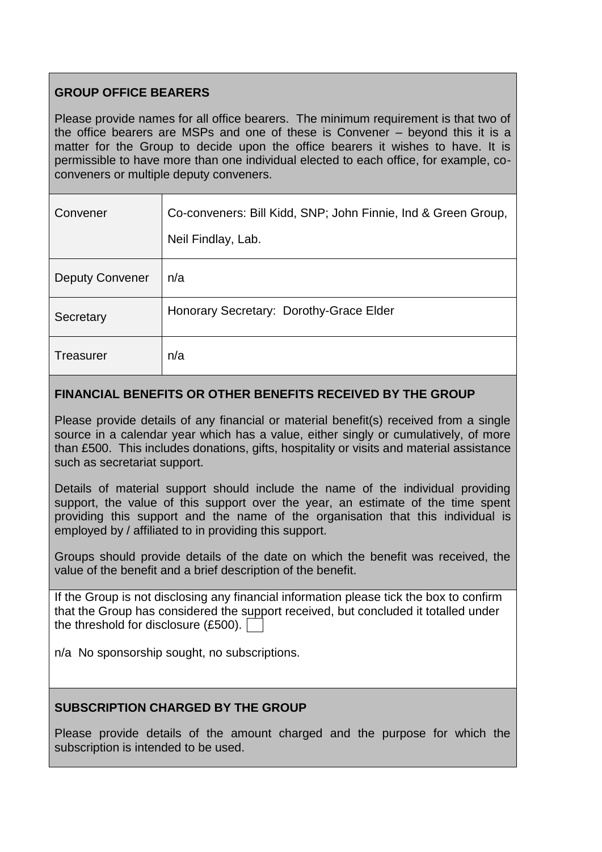# **GROUP OFFICE BEARERS**

Please provide names for all office bearers. The minimum requirement is that two of the office bearers are MSPs and one of these is Convener – beyond this it is a matter for the Group to decide upon the office bearers it wishes to have. It is permissible to have more than one individual elected to each office, for example, coconveners or multiple deputy conveners.

| Convener               | Co-conveners: Bill Kidd, SNP; John Finnie, Ind & Green Group,<br>Neil Findlay, Lab. |
|------------------------|-------------------------------------------------------------------------------------|
| <b>Deputy Convener</b> | n/a                                                                                 |
| Secretary              | Honorary Secretary: Dorothy-Grace Elder                                             |
| <b>Treasurer</b>       | n/a                                                                                 |

## **FINANCIAL BENEFITS OR OTHER BENEFITS RECEIVED BY THE GROUP**

Please provide details of any financial or material benefit(s) received from a single source in a calendar year which has a value, either singly or cumulatively, of more than £500. This includes donations, gifts, hospitality or visits and material assistance such as secretariat support.

Details of material support should include the name of the individual providing support, the value of this support over the year, an estimate of the time spent providing this support and the name of the organisation that this individual is employed by / affiliated to in providing this support.

Groups should provide details of the date on which the benefit was received, the value of the benefit and a brief description of the benefit.

If the Group is not disclosing any financial information please tick the box to confirm that the Group has considered the support received, but concluded it totalled under the threshold for disclosure (£500).

n/a No sponsorship sought, no subscriptions.

# **SUBSCRIPTION CHARGED BY THE GROUP**

Please provide details of the amount charged and the purpose for which the subscription is intended to be used.